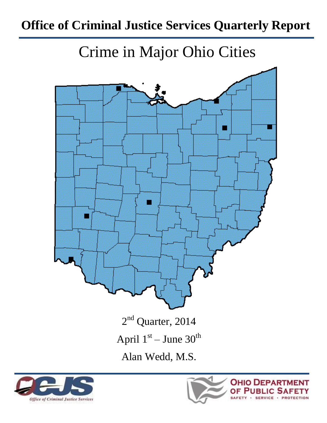# **Office of Criminal Justice Services Quarterly Report**

Crime in Major Ohio Cities





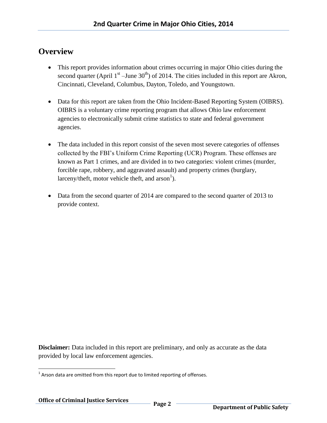#### **Overview**

- This report provides information about crimes occurring in major Ohio cities during the second quarter (April  $1<sup>st</sup>$  –June 30<sup>th</sup>) of 2014. The cities included in this report are Akron, Cincinnati, Cleveland, Columbus, Dayton, Toledo, and Youngstown.
- Data for this report are taken from the Ohio Incident-Based Reporting System (OIBRS). OIBRS is a voluntary crime reporting program that allows Ohio law enforcement agencies to electronically submit crime statistics to state and federal government agencies.
- The data included in this report consist of the seven most severe categories of offenses collected by the FBI's Uniform Crime Reporting (UCR) Program. These offenses are known as Part 1 crimes, and are divided in to two categories: violent crimes (murder, forcible rape, robbery, and aggravated assault) and property crimes (burglary, larceny/theft, motor vehicle theft, and  $arson<sup>1</sup>$ ).
- Data from the second quarter of 2014 are compared to the second quarter of 2013 to provide context.

**Disclaimer:** Data included in this report are preliminary, and only as accurate as the data provided by local law enforcement agencies.

l  $1$  Arson data are omitted from this report due to limited reporting of offenses.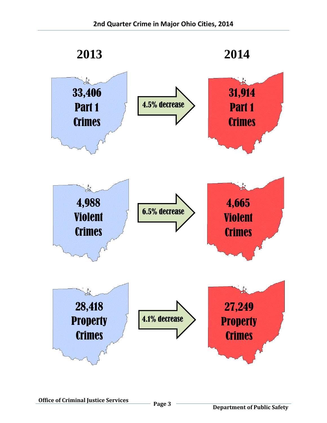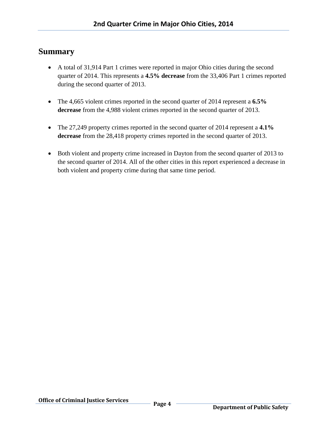#### **Summary**

- A total of 31,914 Part 1 crimes were reported in major Ohio cities during the second quarter of 2014. This represents a **4.5% decrease** from the 33,406 Part 1 crimes reported during the second quarter of 2013.
- The 4,665 violent crimes reported in the second quarter of 2014 represent a **6.5% decrease** from the 4,988 violent crimes reported in the second quarter of 2013.
- The 27,249 property crimes reported in the second quarter of 2014 represent a **4.1% decrease** from the 28,418 property crimes reported in the second quarter of 2013.
- Both violent and property crime increased in Dayton from the second quarter of 2013 to the second quarter of 2014. All of the other cities in this report experienced a decrease in both violent and property crime during that same time period.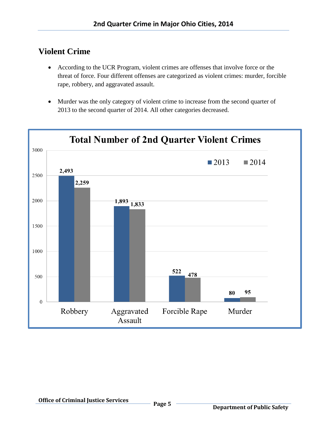## **Violent Crime**

- According to the UCR Program, violent crimes are offenses that involve force or the threat of force. Four different offenses are categorized as violent crimes: murder, forcible rape, robbery, and aggravated assault.
- Murder was the only category of violent crime to increase from the second quarter of 2013 to the second quarter of 2014. All other categories decreased.

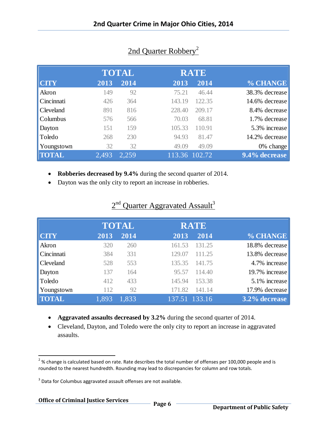|              |       | <b>TOTAL</b>      |        | <b>RATE</b>   |                |
|--------------|-------|-------------------|--------|---------------|----------------|
| <b>CITY</b>  | 2013  | $20\overline{14}$ | 2013   | 2014          | % CHANGE       |
| Akron        | 149   | 92                | 75.21  | 46.44         | 38.3% decrease |
| Cincinnati   | 426   | 364               | 143.19 | 122.35        | 14.6% decrease |
| Cleveland    | 891   | 816               | 228.40 | 209.17        | 8.4% decrease  |
| Columbus     | 576   | 566               | 70.03  | 68.81         | 1.7% decrease  |
| Dayton       | 151   | 159               | 105.33 | 110.91        | 5.3% increase  |
| Toledo       | 268   | 230               | 94.93  | 81.47         | 14.2% decrease |
| Youngstown   | 32    | 32                | 49.09  | 49.09         | $0\%$ change   |
| <b>TOTAL</b> | 2,493 | 2,259             |        | 113.36 102.72 | 9.4% decrease  |

## 2nd Quarter Robbery<sup>2</sup>

- **Robberies decreased by 9.4%** during the second quarter of 2014.
- Dayton was the only city to report an increase in robberies.

|              |       | <b>TOTAL</b> | <b>RATE</b>                             |                          |
|--------------|-------|--------------|-----------------------------------------|--------------------------|
| <b>CITY</b>  | 2013  | 2014         | 2013                                    | % CHANGE<br>2014         |
| Akron        | 320   | 260          | 161.53                                  | 18.8% decrease<br>131.25 |
| Cincinnati   | 384   | 331          | 129.07                                  | 13.8% decrease<br>111.25 |
| Cleveland    | 528   | 553          | 135.35                                  | 4.7% increase<br>141.75  |
| Dayton       | 137   | 164          | 95.57                                   | 19.7% increase<br>114.40 |
| Toledo       | 412   | 433          | 145.94                                  | 5.1% increase<br>153.38  |
| Youngstown   | 112   | 92           | 171.82                                  | 17.9% decrease<br>141.14 |
| <b>TOTAL</b> | 1,893 | 1,833        | $\overline{137.51}$ $\overline{133.16}$ | 3.2% decrease            |

#### $2<sup>nd</sup>$  Quarter Aggravated Assault<sup>3</sup>

- **Aggravated assaults decreased by 3.2%** during the second quarter of 2014.
- Cleveland, Dayton, and Toledo were the only city to report an increase in aggravated assaults.

 $\overline{a}$ 

 $^{2}$ % change is calculated based on rate. Rate describes the total number of offenses per 100,000 people and is rounded to the nearest hundredth. Rounding may lead to discrepancies for column and row totals.

 $3$  Data for Columbus aggravated assault offenses are not available.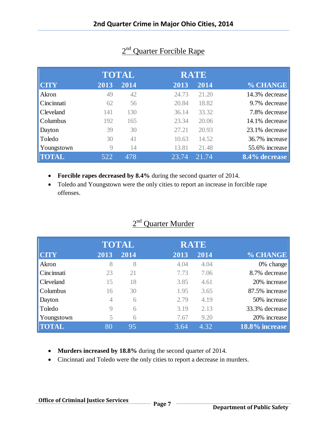|                  |      | <b>TOTAL</b> |       | <b>RATE</b> |                |
|------------------|------|--------------|-------|-------------|----------------|
| $  $ CITY        | 2013 | 2014         | 2013  | 2014        | % CHANGE       |
| Akron            | 49   | 42           | 24.73 | 21.20       | 14.3% decrease |
| Cincinnati       | 62   | 56           | 20.84 | 18.82       | 9.7% decrease  |
| <b>Cleveland</b> | 141  | 130          | 36.14 | 33.32       | 7.8% decrease  |
| <b>Columbus</b>  | 192  | 165          | 23.34 | 20.06       | 14.1% decrease |
| Dayton           | 39   | 30           | 27.21 | 20.93       | 23.1% decrease |
| Toledo           | 30   | 41           | 10.63 | 14.52       | 36.7% increase |
| Youngstown       | 9    | 14           | 13.81 | 21.48       | 55.6% increase |
| <b>TOTAL</b>     | 522  | 478          | 23.74 | 21.74       | 8.4% decrease  |

# 2<sup>nd</sup> Quarter Forcible Rape

- **Forcible rapes decreased by 8.4%** during the second quarter of 2014.
- Toledo and Youngstown were the only cities to report an increase in forcible rape offenses.

## $2<sup>nd</sup>$  Quarter Murder

|              |      | <b>TOTAL</b> |      | <b>RATE</b> |                |
|--------------|------|--------------|------|-------------|----------------|
| <b>CITY</b>  | 2013 | 2014         | 2013 | 2014        | % CHANGE       |
| Akron        | 8    | 8            | 4.04 | 4.04        | $0\%$ change   |
| Cincinnati   | 23   | 21           | 7.73 | 7.06        | 8.7% decrease  |
| Cleveland    | 15   | 18           | 3.85 | 4.61        | 20% increase   |
| Columbus     | 16   | 30           | 1.95 | 3.65        | 87.5% increase |
| Dayton       | 4    | 6            | 2.79 | 4.19        | 50% increase   |
| Toledo       | 9    | 6            | 3.19 | 2.13        | 33.3% decrease |
| Youngstown   | 5    | 6            | 7.67 | 9.20        | 20% increase   |
| <b>TOTAL</b> | 80   | 95           | 3.64 | 4.32        | 18.8% increase |
|              |      |              |      |             |                |

- **Murders increased by 18.8%** during the second quarter of 2014.
- Cincinnati and Toledo were the only cities to report a decrease in murders.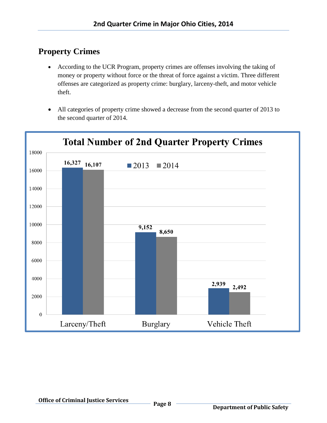# **Property Crimes**

- According to the UCR Program, property crimes are offenses involving the taking of money or property without force or the threat of force against a victim. Three different offenses are categorized as property crime: burglary, larceny-theft, and motor vehicle theft.
- All categories of property crime showed a decrease from the second quarter of 2013 to the second quarter of 2014.

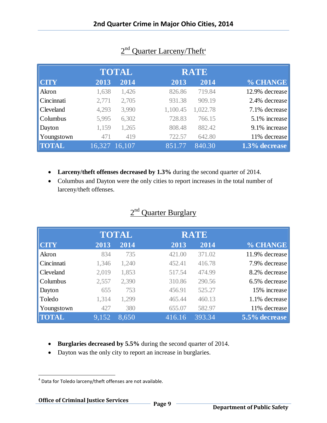|                  |       | <b>TOTAL</b>  |          | <b>RATE</b> |                |
|------------------|-------|---------------|----------|-------------|----------------|
| <b>CITY</b>      | 2013  | 2014          | 2013     | 2014        | % CHANGE       |
| Akron            | 1,638 | 1,426         | 826.86   | 719.84      | 12.9% decrease |
| Cincinnati       | 2,771 | 2,705         | 931.38   | 909.19      | 2.4% decrease  |
| <b>Cleveland</b> | 4,293 | 3,990         | 1,100.45 | 1,022.78    | 7.1% decrease  |
| <b>Columbus</b>  | 5,995 | 6,302         | 728.83   | 766.15      | 5.1% increase  |
| Dayton           | 1,159 | 1,265         | 808.48   | 882.42      | 9.1% increase  |
| Youngstown       | 471   | 419           | 722.57   | 642.80      | 11% decrease   |
| <b>TOTAL</b>     |       | 16,327 16,107 | 851.77   | 840.30      | 1.3% decrease  |

## 2<sup>nd</sup> Quarter Larceny/Theft<sup>4</sup>

- **Larceny/theft offenses decreased by 1.3%** during the second quarter of 2014.
- Columbus and Dayton were the only cities to report increases in the total number of larceny/theft offenses.

|                    |       | <b>TOTAL</b> |        | <b>RATE</b> |                |
|--------------------|-------|--------------|--------|-------------|----------------|
| <b>CTY</b>         | 2013  | 2014         | 2013   | 2014        | % CHANGE       |
| Akron              | 834   | 735          | 421.00 | 371.02      | 11.9% decrease |
| Cincinnati         | 1,346 | 1,240        | 452.41 | 416.78      | 7.9% decrease  |
| <b>Cleveland</b>   | 2,019 | 1,853        | 517.54 | 474.99      | 8.2% decrease  |
| <b>Columbus</b>    | 2,557 | 2,390        | 310.86 | 290.56      | 6.5% decrease  |
| Dayton             | 655   | 753          | 456.91 | 525.27      | 15% increase   |
| Toledo             | 1,314 | 1,299        | 465.44 | 460.13      | 1.1% decrease  |
| Youngstown         | 427   | 380          | 655.07 | 582.97      | 11% decrease   |
| $  \textbf{TOTAL}$ | 9,152 | 8,650        | 416.16 | 393.34      | 5.5% decrease  |

#### 2<sup>nd</sup> Quarter Burglary

- **Burglaries decreased by 5.5%** during the second quarter of 2014.
- Dayton was the only city to report an increase in burglaries.

 $\overline{\phantom{a}}$ 

<sup>&</sup>lt;sup>4</sup> Data for Toledo larceny/theft offenses are not available.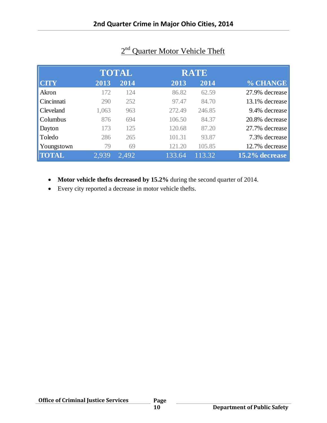|                  |       | <b>TOTAL</b> |        | <b>RATE</b> |                |
|------------------|-------|--------------|--------|-------------|----------------|
| <b>CITY</b>      | 2013  | 2014         | 2013   | 2014        | % CHANGE       |
| Akron            | 172   | 124          | 86.82  | 62.59       | 27.9% decrease |
| Cincinnati       | 290   | 252          | 97.47  | 84.70       | 13.1% decrease |
| <b>Cleveland</b> | 1,063 | 963          | 272.49 | 246.85      | 9.4% decrease  |
| <b>Columbus</b>  | 876   | 694          | 106.50 | 84.37       | 20.8% decrease |
| Dayton           | 173   | 125          | 120.68 | 87.20       | 27.7% decrease |
| Toledo           | 286   | 265          | 101.31 | 93.87       | 7.3% decrease  |
| Youngstown       | 79    | 69           | 121.20 | 105.85      | 12.7% decrease |
| <b>TOTAL</b>     | 2,939 | 2,492        | 133.64 | 113.32      | 15.2% decrease |

## 2<sup>nd</sup> Quarter Motor Vehicle Theft

- **Motor vehicle thefts decreased by 15.2%** during the second quarter of 2014.
- Every city reported a decrease in motor vehicle thefts.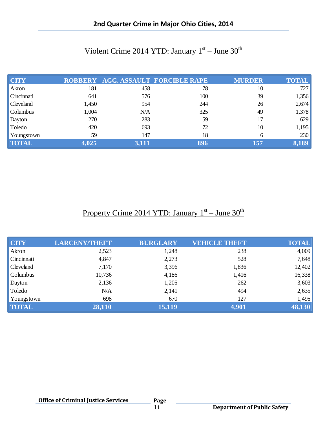| <b>CITY</b>      |       |       | ROBBERY AGG. ASSAULT FORCIBLE RAPE | <b>MURDER</b> | <b>TOTAL</b> |
|------------------|-------|-------|------------------------------------|---------------|--------------|
| Akron            | 181   | 458   | 78                                 | 10            | 727          |
| Cincinnati       | 641   | 576   | 100                                | 39            | 1,356        |
| <b>Cleveland</b> | 1,450 | 954   | 244                                | 26            | 2,674        |
| Columbus         | 1,004 | N/A   | 325                                | 49            | 1,378        |
| Dayton           | 270   | 283   | 59                                 | 17            | 629          |
| Toledo           | 420   | 693   | 72                                 | 10            | 1,195        |
| Youngstown       | 59    | 147   | 18                                 | <sub>6</sub>  | 230          |
| <b>TOTAL</b>     | 4,025 | 3,111 | 896                                | 157           | 8,189        |

# Violent Crime 2014 YTD: January 1<sup>st</sup> – June 30<sup>th</sup>

# Property Crime 2014 YTD: January 1<sup>st</sup> – June 30<sup>th</sup>

| <b>CTY</b>   | <b>LARCENY/THEFT</b> | <b>BURGLARY</b> | <b>VEHICLE THEFT</b> | <b>TOTAL</b> |
|--------------|----------------------|-----------------|----------------------|--------------|
| Akron        | 2,523                | 1,248           | 238                  | 4,009        |
| Cincinnati   | 4,847                | 2,273           | 528                  | 7,648        |
| Cleveland    | 7,170                | 3,396           | 1,836                | 12,402       |
| Columbus     | 10,736               | 4,186           | 1,416                | 16,338       |
| Dayton       | 2,136                | 1,205           | 262                  | 3,603        |
| Toledo       | N/A                  | 2,141           | 494                  | 2,635        |
| Youngstown   | 698                  | 670             | 127                  | 1,495        |
| <b>TOTAL</b> | 28,110               | 15,119          | 4,901                | 48,130       |